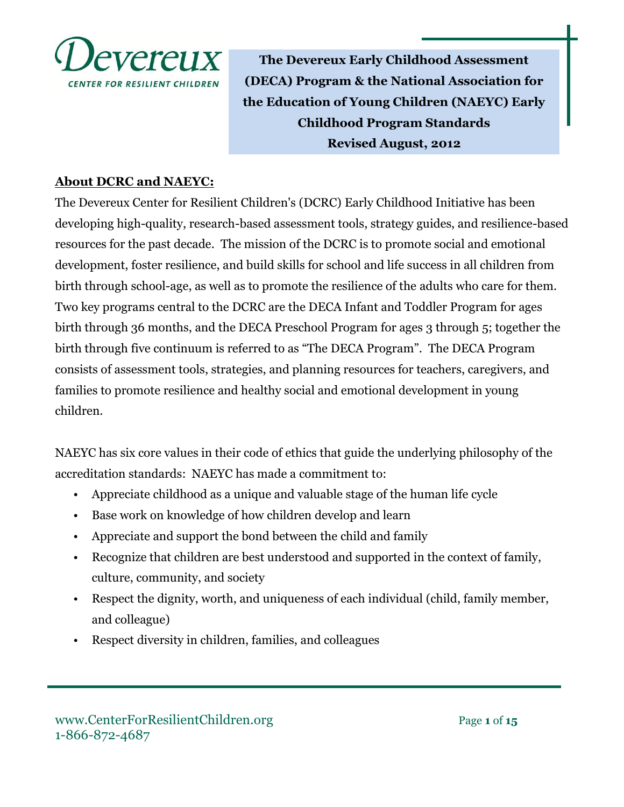

**The Devereux Early Childhood Assessment (DECA) Program & the National Association for the Education of Young Children (NAEYC) Early Childhood Program Standards Revised August, 2012**

## **About DCRC and NAEYC:**

The Devereux Center for Resilient Children's (DCRC) Early Childhood Initiative has been developing high-quality, research-based assessment tools, strategy guides, and resilience-based resources for the past decade. The mission of the DCRC is to promote social and emotional development, foster resilience, and build skills for school and life success in all children from birth through school-age, as well as to promote the resilience of the adults who care for them. Two key programs central to the DCRC are the DECA Infant and Toddler Program for ages birth through 36 months, and the DECA Preschool Program for ages 3 through 5; together the birth through five continuum is referred to as "The DECA Program". The DECA Program consists of assessment tools, strategies, and planning resources for teachers, caregivers, and families to promote resilience and healthy social and emotional development in young children.

NAEYC has six core values in their code of ethics that guide the underlying philosophy of the accreditation standards: NAEYC has made a commitment to:

- Appreciate childhood as a unique and valuable stage of the human life cycle
- Base work on knowledge of how children develop and learn
- Appreciate and support the bond between the child and family
- Recognize that children are best understood and supported in the context of family, culture, community, and society
- Respect the dignity, worth, and uniqueness of each individual (child, family member, and colleague)
- Respect diversity in children, families, and colleagues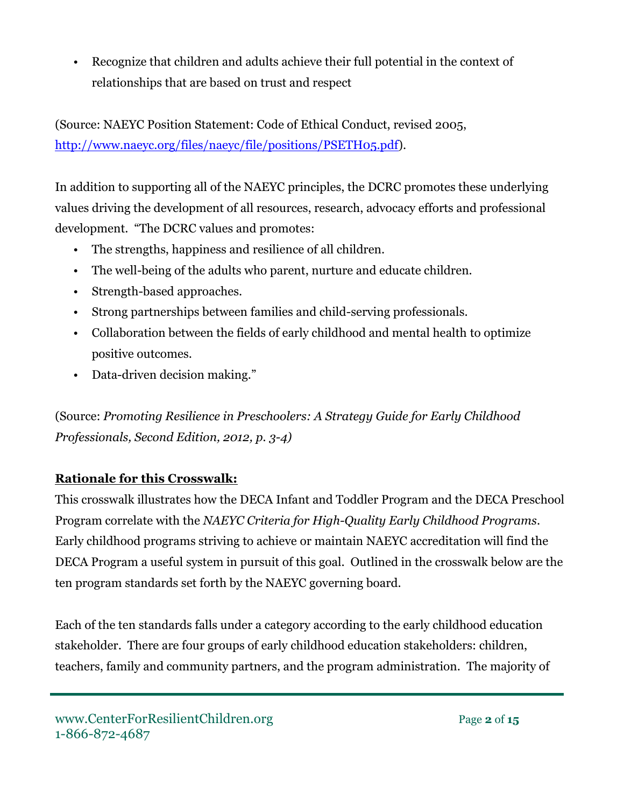• Recognize that children and adults achieve their full potential in the context of relationships that are based on trust and respect

(Source: NAEYC Position Statement: Code of Ethical Conduct, revised 2005, [http://www.naeyc.org/files/naeyc/file/positions/PSETH05.pdf\)](http://www.naeyc.org/files/naeyc/file/positions/PSETH05.pdf).

In addition to supporting all of the NAEYC principles, the DCRC promotes these underlying values driving the development of all resources, research, advocacy efforts and professional development. "The DCRC values and promotes:

- The strengths, happiness and resilience of all children.
- The well-being of the adults who parent, nurture and educate children.
- Strength-based approaches.
- Strong partnerships between families and child-serving professionals.
- Collaboration between the fields of early childhood and mental health to optimize positive outcomes.
- Data-driven decision making."

(Source: *Promoting Resilience in Preschoolers: A Strategy Guide for Early Childhood Professionals, Second Edition, 2012, p. 3-4)*

## **Rationale for this Crosswalk:**

This crosswalk illustrates how the DECA Infant and Toddler Program and the DECA Preschool Program correlate with the *NAEYC Criteria for High-Quality Early Childhood Programs*. Early childhood programs striving to achieve or maintain NAEYC accreditation will find the DECA Program a useful system in pursuit of this goal. Outlined in the crosswalk below are the ten program standards set forth by the NAEYC governing board.

Each of the ten standards falls under a category according to the early childhood education stakeholder. There are four groups of early childhood education stakeholders: children, teachers, family and community partners, and the program administration. The majority of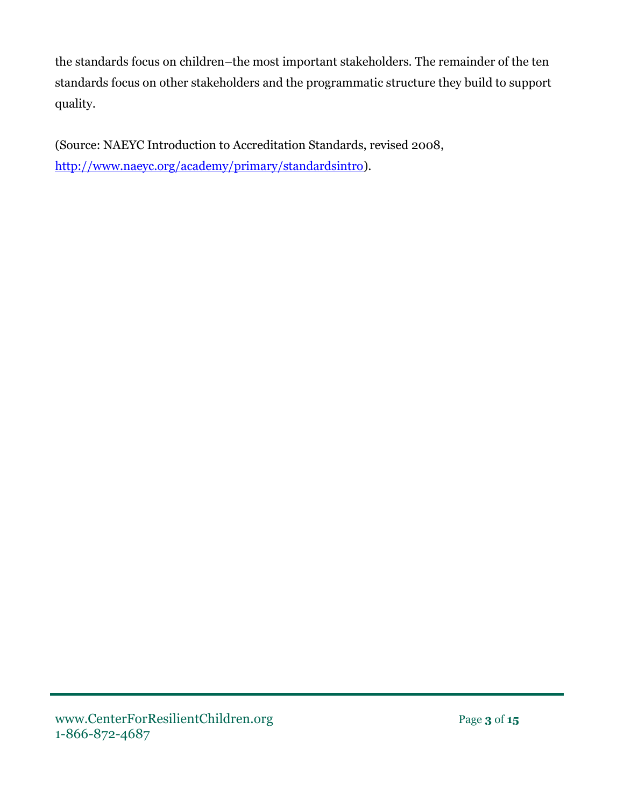the standards focus on children–the most important stakeholders. The remainder of the ten standards focus on other stakeholders and the programmatic structure they build to support quality.

(Source: NAEYC Introduction to Accreditation Standards, revised 2008, [http://www.naeyc.org/academy/primary/standardsintro\)](http://www.naeyc.org/academy/primary/standardsintro).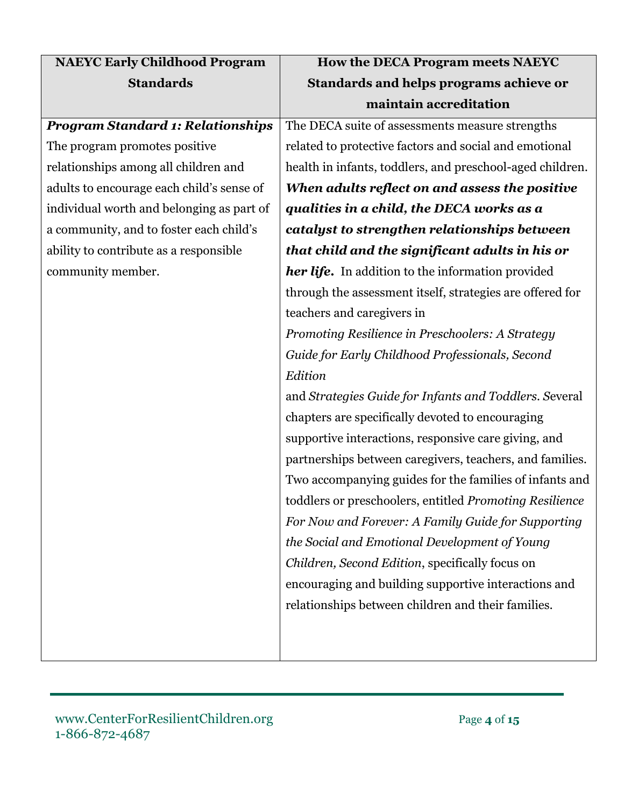| <b>NAEYC Early Childhood Program</b>      | How the DECA Program meets NAEYC                          |
|-------------------------------------------|-----------------------------------------------------------|
| <b>Standards</b>                          | <b>Standards and helps programs achieve or</b>            |
|                                           | maintain accreditation                                    |
| <b>Program Standard 1: Relationships</b>  | The DECA suite of assessments measure strengths           |
| The program promotes positive             | related to protective factors and social and emotional    |
| relationships among all children and      | health in infants, toddlers, and preschool-aged children. |
| adults to encourage each child's sense of | When adults reflect on and assess the positive            |
| individual worth and belonging as part of | qualities in a child, the DECA works as a                 |
| a community, and to foster each child's   | catalyst to strengthen relationships between              |
| ability to contribute as a responsible    | that child and the significant adults in his or           |
| community member.                         | <b>her life.</b> In addition to the information provided  |
|                                           | through the assessment itself, strategies are offered for |
|                                           | teachers and caregivers in                                |
|                                           | Promoting Resilience in Preschoolers: A Strategy          |
|                                           | Guide for Early Childhood Professionals, Second           |
|                                           | Edition                                                   |
|                                           | and Strategies Guide for Infants and Toddlers. Several    |
|                                           | chapters are specifically devoted to encouraging          |
|                                           | supportive interactions, responsive care giving, and      |
|                                           | partnerships between caregivers, teachers, and families.  |
|                                           | Two accompanying guides for the families of infants and   |
|                                           | toddlers or preschoolers, entitled Promoting Resilience   |
|                                           | For Now and Forever: A Family Guide for Supporting        |
|                                           | the Social and Emotional Development of Young             |
|                                           | Children, Second Edition, specifically focus on           |
|                                           | encouraging and building supportive interactions and      |
|                                           | relationships between children and their families.        |
|                                           |                                                           |
|                                           |                                                           |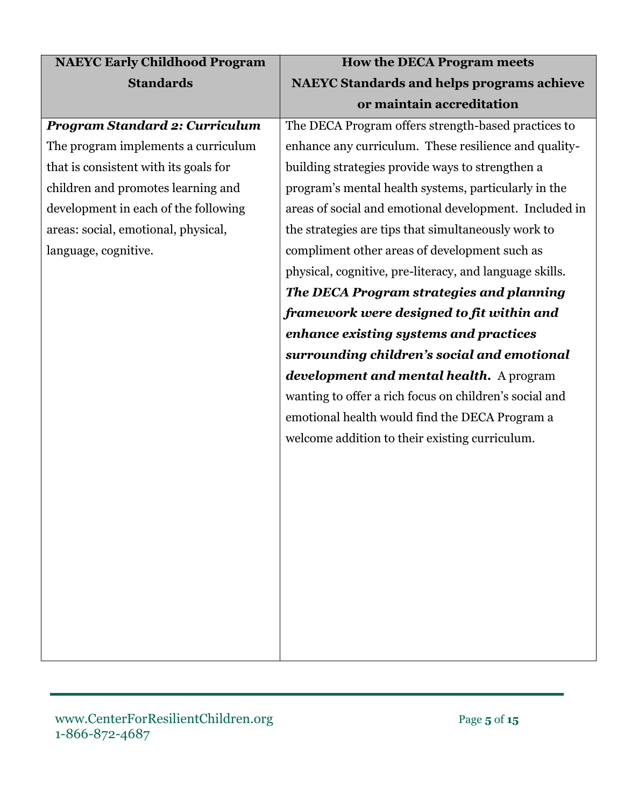| <b>NAEYC Early Childhood Program</b>  | <b>How the DECA Program meets</b>                       |
|---------------------------------------|---------------------------------------------------------|
| <b>Standards</b>                      | <b>NAEYC Standards and helps programs achieve</b>       |
|                                       | or maintain accreditation                               |
| <b>Program Standard 2: Curriculum</b> | The DECA Program offers strength-based practices to     |
| The program implements a curriculum   | enhance any curriculum. These resilience and quality-   |
| that is consistent with its goals for | building strategies provide ways to strengthen a        |
| children and promotes learning and    | program's mental health systems, particularly in the    |
| development in each of the following  | areas of social and emotional development. Included in  |
| areas: social, emotional, physical,   | the strategies are tips that simultaneously work to     |
| language, cognitive.                  | compliment other areas of development such as           |
|                                       | physical, cognitive, pre-literacy, and language skills. |
|                                       | The DECA Program strategies and planning                |
|                                       | framework were designed to fit within and               |
|                                       | enhance existing systems and practices                  |
|                                       | surrounding children's social and emotional             |
|                                       | development and mental health. A program                |
|                                       | wanting to offer a rich focus on children's social and  |
|                                       | emotional health would find the DECA Program a          |
|                                       | welcome addition to their existing curriculum.          |
|                                       |                                                         |
|                                       |                                                         |
|                                       |                                                         |
|                                       |                                                         |
|                                       |                                                         |
|                                       |                                                         |
|                                       |                                                         |
|                                       |                                                         |
|                                       |                                                         |
|                                       |                                                         |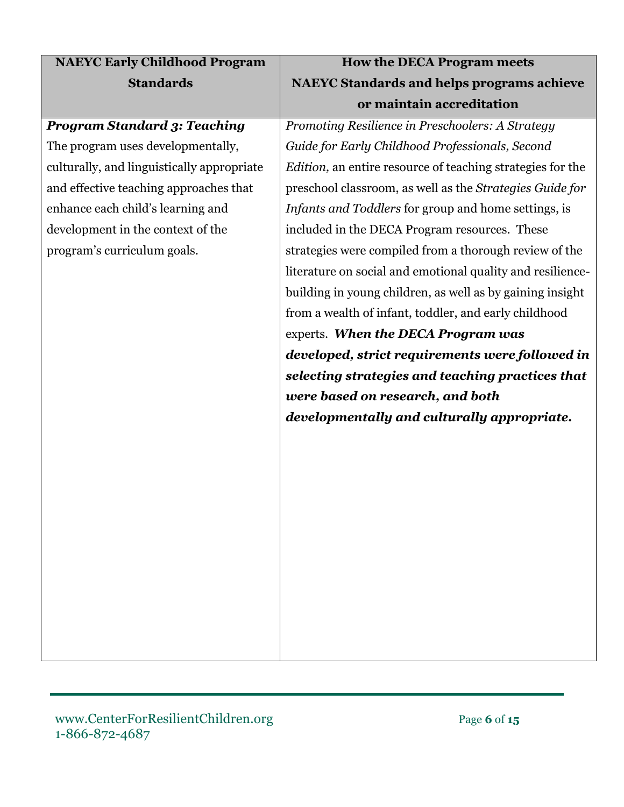| <b>How the DECA Program meets</b>                                  |
|--------------------------------------------------------------------|
| <b>NAEYC Standards and helps programs achieve</b>                  |
| or maintain accreditation                                          |
| Promoting Resilience in Preschoolers: A Strategy                   |
| Guide for Early Childhood Professionals, Second                    |
| <i>Edition</i> , an entire resource of teaching strategies for the |
| preschool classroom, as well as the Strategies Guide for           |
| Infants and Toddlers for group and home settings, is               |
| included in the DECA Program resources. These                      |
| strategies were compiled from a thorough review of the             |
| literature on social and emotional quality and resilience-         |
| building in young children, as well as by gaining insight          |
| from a wealth of infant, toddler, and early childhood              |
| experts. When the DECA Program was                                 |
| developed, strict requirements were followed in                    |
| selecting strategies and teaching practices that                   |
| were based on research, and both                                   |
| developmentally and culturally appropriate.                        |
|                                                                    |
|                                                                    |
|                                                                    |
|                                                                    |
|                                                                    |
|                                                                    |
|                                                                    |
|                                                                    |
|                                                                    |
|                                                                    |
|                                                                    |
|                                                                    |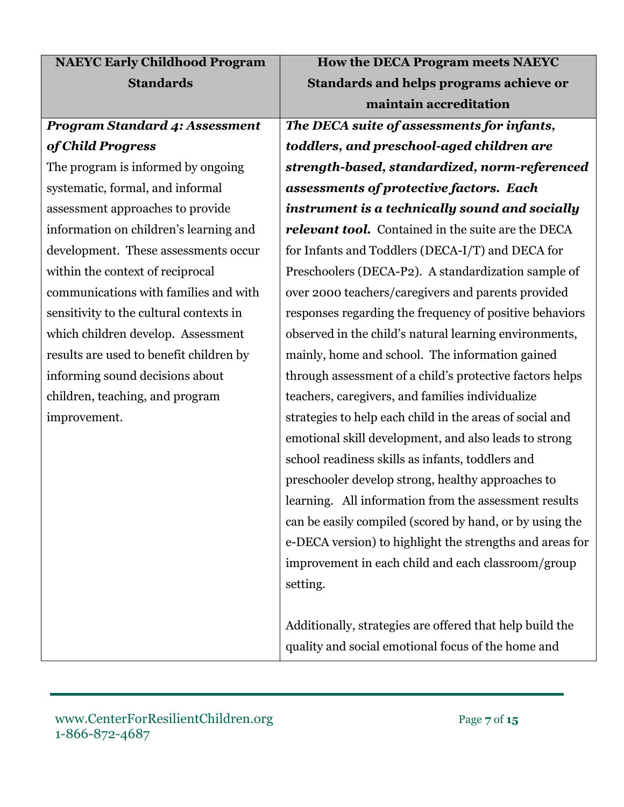| <b>NAEYC Early Childhood Program</b>    | <b>How the DECA Program meets NAEYC</b>                  |
|-----------------------------------------|----------------------------------------------------------|
| <b>Standards</b>                        | Standards and helps programs achieve or                  |
|                                         | maintain accreditation                                   |
| <b>Program Standard 4: Assessment</b>   | The DECA suite of assessments for infants,               |
| of Child Progress                       | toddlers, and preschool-aged children are                |
| The program is informed by ongoing      | strength-based, standardized, norm-referenced            |
| systematic, formal, and informal        | assessments of protective factors. Each                  |
| assessment approaches to provide        | instrument is a technically sound and socially           |
| information on children's learning and  | relevant tool. Contained in the suite are the DECA       |
| development. These assessments occur    | for Infants and Toddlers (DECA-I/T) and DECA for         |
| within the context of reciprocal        | Preschoolers (DECA-P2). A standardization sample of      |
| communications with families and with   | over 2000 teachers/caregivers and parents provided       |
| sensitivity to the cultural contexts in | responses regarding the frequency of positive behaviors  |
| which children develop. Assessment      | observed in the child's natural learning environments,   |
| results are used to benefit children by | mainly, home and school. The information gained          |
| informing sound decisions about         | through assessment of a child's protective factors helps |
| children, teaching, and program         | teachers, caregivers, and families individualize         |
| improvement.                            | strategies to help each child in the areas of social and |
|                                         | emotional skill development, and also leads to strong    |
|                                         | school readiness skills as infants, toddlers and         |
|                                         | preschooler develop strong, healthy approaches to        |
|                                         | learning. All information from the assessment results    |
|                                         | can be easily compiled (scored by hand, or by using the  |
|                                         | e-DECA version) to highlight the strengths and areas for |
|                                         | improvement in each child and each classroom/group       |
|                                         | setting.                                                 |
|                                         |                                                          |
|                                         | Additionally, strategies are offered that help build the |
|                                         | quality and social emotional focus of the home and       |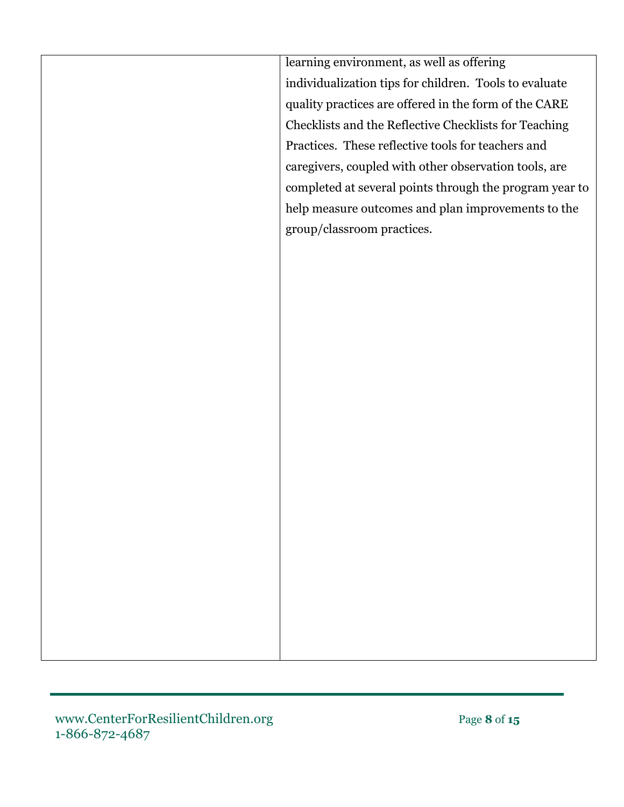learning environment, as well as offering individualization tips for children. Tools to evaluate quality practices are offered in the form of the CARE Checklists and the Reflective Checklists for Teaching Practices. These reflective tools for teachers and caregivers, coupled with other observation tools, are completed at several points through the program year to help measure outcomes and plan improvements to the group/classroom practices.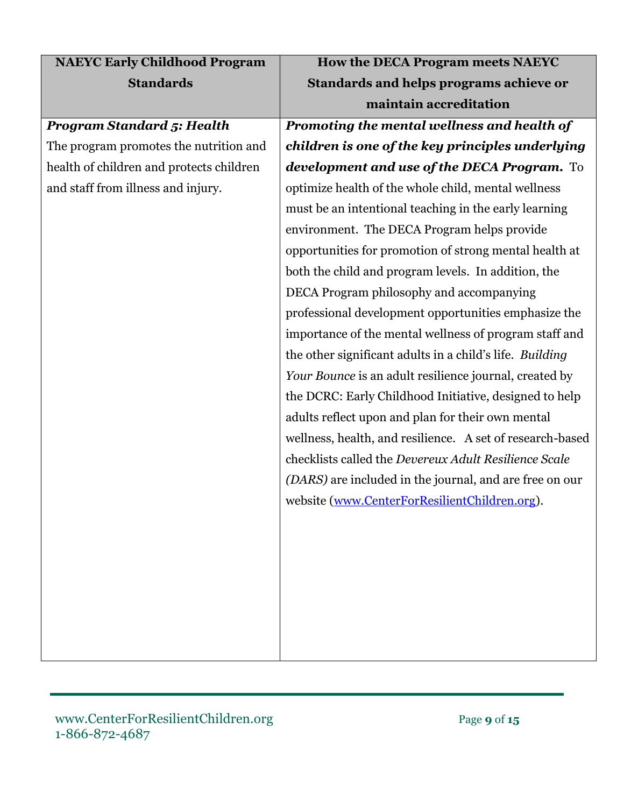| <b>NAEYC Early Childhood Program</b>     | How the DECA Program meets NAEYC                          |
|------------------------------------------|-----------------------------------------------------------|
| <b>Standards</b>                         | Standards and helps programs achieve or                   |
|                                          | maintain accreditation                                    |
| <b>Program Standard 5: Health</b>        | Promoting the mental wellness and health of               |
| The program promotes the nutrition and   | children is one of the key principles underlying          |
| health of children and protects children | development and use of the DECA Program. To               |
| and staff from illness and injury.       | optimize health of the whole child, mental wellness       |
|                                          | must be an intentional teaching in the early learning     |
|                                          | environment. The DECA Program helps provide               |
|                                          | opportunities for promotion of strong mental health at    |
|                                          | both the child and program levels. In addition, the       |
|                                          | DECA Program philosophy and accompanying                  |
|                                          | professional development opportunities emphasize the      |
|                                          | importance of the mental wellness of program staff and    |
|                                          | the other significant adults in a child's life. Building  |
|                                          | Your Bounce is an adult resilience journal, created by    |
|                                          | the DCRC: Early Childhood Initiative, designed to help    |
|                                          | adults reflect upon and plan for their own mental         |
|                                          | wellness, health, and resilience. A set of research-based |
|                                          | checklists called the Devereux Adult Resilience Scale     |
|                                          | (DARS) are included in the journal, and are free on our   |
|                                          | website (www.CenterForResilientChildren.org).             |
|                                          |                                                           |
|                                          |                                                           |
|                                          |                                                           |
|                                          |                                                           |
|                                          |                                                           |
|                                          |                                                           |
|                                          |                                                           |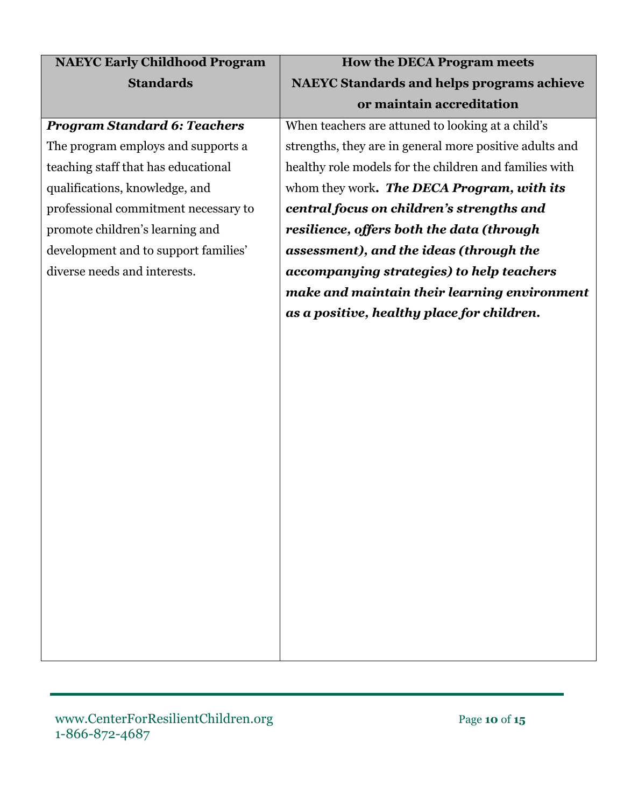| <b>NAEYC Early Childhood Program</b> | <b>How the DECA Program meets</b>                       |
|--------------------------------------|---------------------------------------------------------|
| <b>Standards</b>                     | <b>NAEYC Standards and helps programs achieve</b>       |
|                                      | or maintain accreditation                               |
| <b>Program Standard 6: Teachers</b>  | When teachers are attuned to looking at a child's       |
| The program employs and supports a   | strengths, they are in general more positive adults and |
| teaching staff that has educational  | healthy role models for the children and families with  |
| qualifications, knowledge, and       | whom they work. The DECA Program, with its              |
| professional commitment necessary to | central focus on children's strengths and               |
| promote children's learning and      | resilience, offers both the data (through               |
| development and to support families' | assessment), and the ideas (through the                 |
| diverse needs and interests.         | accompanying strategies) to help teachers               |
|                                      | make and maintain their learning environment            |
|                                      | as a positive, healthy place for children.              |
|                                      |                                                         |
|                                      |                                                         |
|                                      |                                                         |
|                                      |                                                         |
|                                      |                                                         |
|                                      |                                                         |
|                                      |                                                         |
|                                      |                                                         |
|                                      |                                                         |
|                                      |                                                         |
|                                      |                                                         |
|                                      |                                                         |
|                                      |                                                         |
|                                      |                                                         |
|                                      |                                                         |
|                                      |                                                         |
|                                      |                                                         |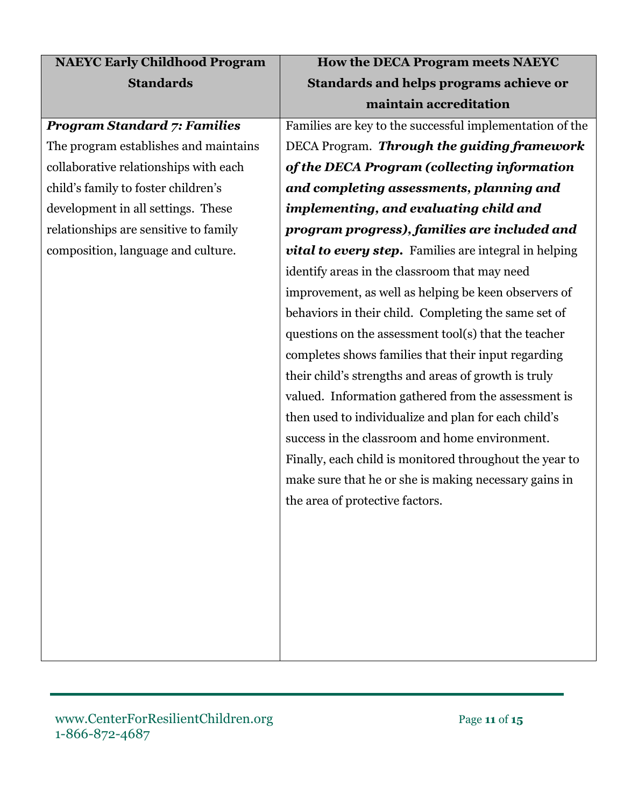| <b>NAEYC Early Childhood Program</b>  | How the DECA Program meets NAEYC                         |
|---------------------------------------|----------------------------------------------------------|
| <b>Standards</b>                      | <b>Standards and helps programs achieve or</b>           |
|                                       | maintain accreditation                                   |
| <b>Program Standard 7: Families</b>   | Families are key to the successful implementation of the |
| The program establishes and maintains | DECA Program. Through the guiding framework              |
| collaborative relationships with each | of the DECA Program (collecting information              |
| child's family to foster children's   | and completing assessments, planning and                 |
| development in all settings. These    | implementing, and evaluating child and                   |
| relationships are sensitive to family | program progress), families are included and             |
| composition, language and culture.    | vital to every step. Families are integral in helping    |
|                                       | identify areas in the classroom that may need            |
|                                       | improvement, as well as helping be keen observers of     |
|                                       | behaviors in their child. Completing the same set of     |
|                                       | questions on the assessment tool(s) that the teacher     |
|                                       | completes shows families that their input regarding      |
|                                       | their child's strengths and areas of growth is truly     |
|                                       | valued. Information gathered from the assessment is      |
|                                       | then used to individualize and plan for each child's     |
|                                       | success in the classroom and home environment.           |
|                                       | Finally, each child is monitored throughout the year to  |
|                                       | make sure that he or she is making necessary gains in    |
|                                       | the area of protective factors.                          |
|                                       |                                                          |
|                                       |                                                          |
|                                       |                                                          |
|                                       |                                                          |
|                                       |                                                          |
|                                       |                                                          |
|                                       |                                                          |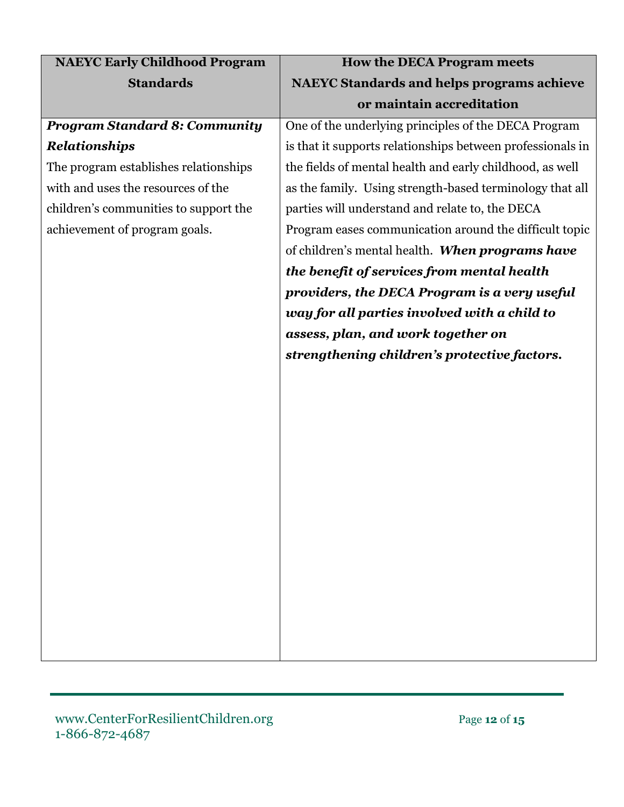| <b>NAEYC Standards and helps programs achieve</b>          |
|------------------------------------------------------------|
|                                                            |
|                                                            |
| One of the underlying principles of the DECA Program       |
| is that it supports relationships between professionals in |
| the fields of mental health and early childhood, as well   |
| as the family. Using strength-based terminology that all   |
|                                                            |
| Program eases communication around the difficult topic     |
| of children's mental health. When programs have            |
|                                                            |
| providers, the DECA Program is a very useful               |
|                                                            |
|                                                            |
|                                                            |
|                                                            |
|                                                            |
|                                                            |
|                                                            |
|                                                            |
|                                                            |
|                                                            |
|                                                            |
|                                                            |
|                                                            |
|                                                            |
|                                                            |
|                                                            |
|                                                            |
|                                                            |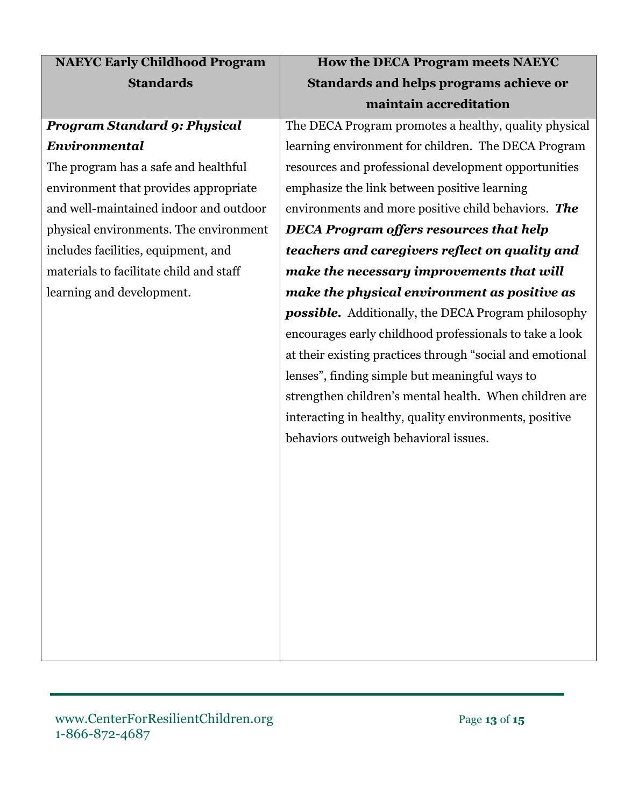| <b>NAEYC Early Childhood Program</b>    | How the DECA Program meets NAEYC                           |
|-----------------------------------------|------------------------------------------------------------|
| <b>Standards</b>                        | Standards and helps programs achieve or                    |
|                                         | maintain accreditation                                     |
| <b>Program Standard 9: Physical</b>     | The DECA Program promotes a healthy, quality physical      |
| Environmental                           | learning environment for children. The DECA Program        |
| The program has a safe and healthful    | resources and professional development opportunities       |
| environment that provides appropriate   | emphasize the link between positive learning               |
| and well-maintained indoor and outdoor  | environments and more positive child behaviors. The        |
| physical environments. The environment  | <b>DECA Program offers resources that help</b>             |
| includes facilities, equipment, and     | teachers and caregivers reflect on quality and             |
| materials to facilitate child and staff | make the necessary improvements that will                  |
| learning and development.               | make the physical environment as positive as               |
|                                         | <b>possible.</b> Additionally, the DECA Program philosophy |
|                                         | encourages early childhood professionals to take a look    |
|                                         | at their existing practices through "social and emotional  |
|                                         | lenses", finding simple but meaningful ways to             |
|                                         | strengthen children's mental health. When children are     |
|                                         | interacting in healthy, quality environments, positive     |
|                                         | behaviors outweigh behavioral issues.                      |
|                                         |                                                            |
|                                         |                                                            |
|                                         |                                                            |
|                                         |                                                            |
|                                         |                                                            |
|                                         |                                                            |
|                                         |                                                            |
|                                         |                                                            |
|                                         |                                                            |
|                                         |                                                            |
|                                         |                                                            |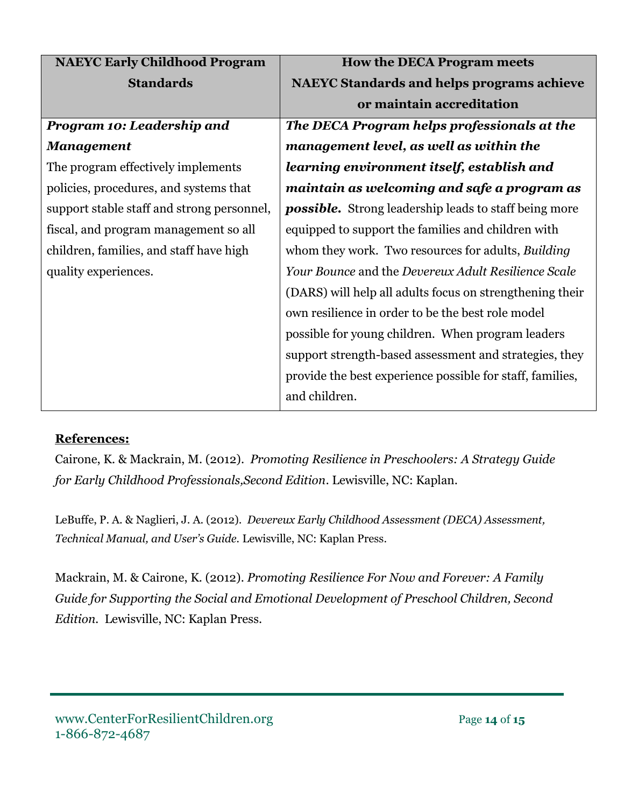| <b>NAEYC Early Childhood Program</b>       | <b>How the DECA Program meets</b>                            |
|--------------------------------------------|--------------------------------------------------------------|
| <b>Standards</b>                           | <b>NAEYC Standards and helps programs achieve</b>            |
|                                            | or maintain accreditation                                    |
| Program 10: Leadership and                 | The DECA Program helps professionals at the                  |
| <b>Management</b>                          | management level, as well as within the                      |
| The program effectively implements         | learning environment itself, establish and                   |
| policies, procedures, and systems that     | maintain as welcoming and safe a program as                  |
| support stable staff and strong personnel, | <b>possible.</b> Strong leadership leads to staff being more |
| fiscal, and program management so all      | equipped to support the families and children with           |
| children, families, and staff have high    | whom they work. Two resources for adults, Building           |
| quality experiences.                       | Your Bounce and the Devereux Adult Resilience Scale          |
|                                            | (DARS) will help all adults focus on strengthening their     |
|                                            | own resilience in order to be the best role model            |
|                                            | possible for young children. When program leaders            |
|                                            | support strength-based assessment and strategies, they       |
|                                            | provide the best experience possible for staff, families,    |
|                                            | and children.                                                |

## **References:**

Cairone, K. & Mackrain, M. (2012). *Promoting Resilience in Preschoolers: A Strategy Guide for Early Childhood Professionals,Second Edition.* Lewisville, NC: Kaplan.

LeBuffe, P. A. & Naglieri, J. A. (2012). *Devereux Early Childhood Assessment (DECA) Assessment, Technical Manual, and User's Guide.* Lewisville, NC: Kaplan Press.

Mackrain, M. & Cairone, K. (2012). *Promoting Resilience For Now and Forever: A Family Guide for Supporting the Social and Emotional Development of Preschool Children, Second Edition.* Lewisville, NC: Kaplan Press.